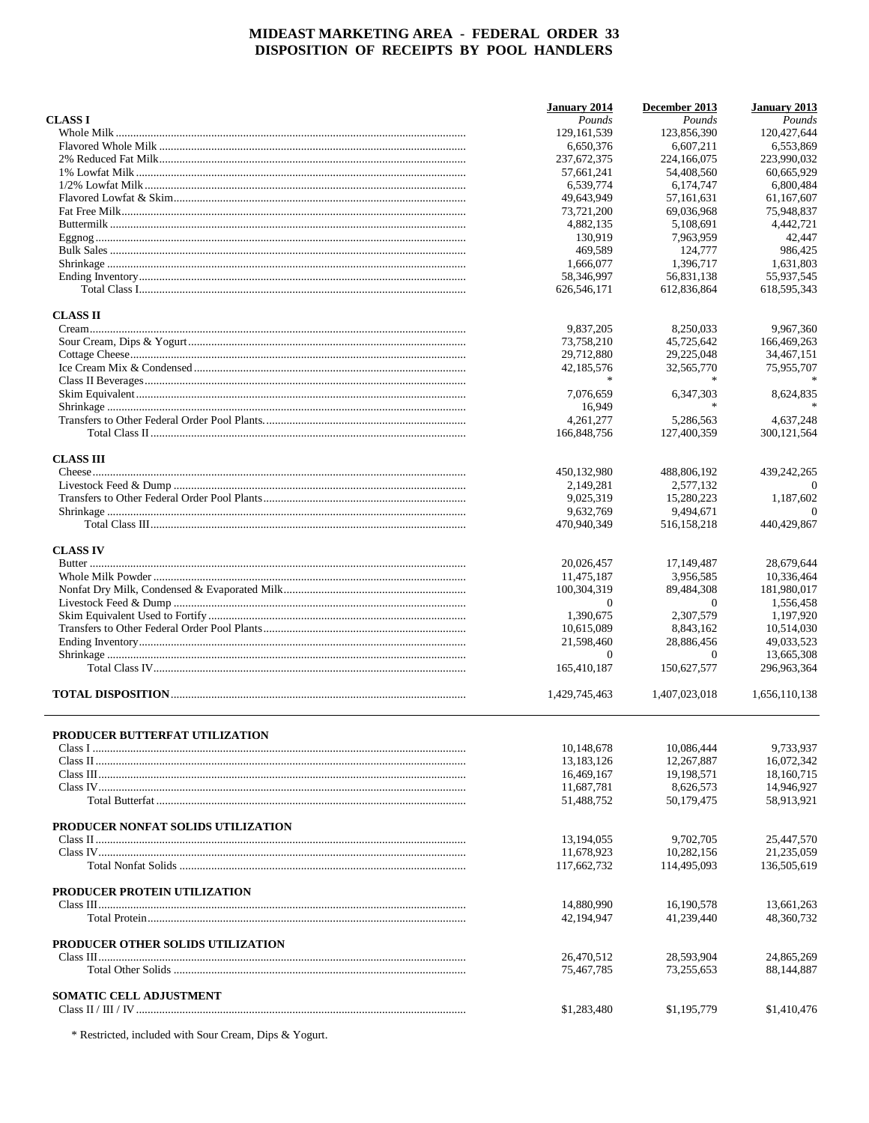|                                          | <b>January 2014</b> | December 2013  | <b>January 2013</b> |
|------------------------------------------|---------------------|----------------|---------------------|
| <b>CLASS I</b>                           | Pounds              | Pounds         | Pounds              |
|                                          | 129, 161, 539       | 123,856,390    | 120,427,644         |
|                                          | 6,650,376           | 6,607,211      | 6,553,869           |
|                                          | 237, 672, 375       | 224,166,075    | 223,990,032         |
|                                          | 57,661,241          | 54,408,560     | 60,665,929          |
|                                          | 6,539,774           | 6.174.747      | 6,800,484           |
|                                          | 49,643,949          | 57,161,631     | 61,167,607          |
|                                          | 73,721,200          | 69,036,968     | 75,948,837          |
|                                          | 4,882,135           | 5,108,691      | 4,442,721           |
|                                          | 130,919             | 7,963,959      | 42.447              |
|                                          | 469,589             | 124,777        | 986,425             |
|                                          | 1,666,077           | 1,396,717      | 1,631,803           |
|                                          | 58,346,997          | 56,831,138     | 55,937,545          |
|                                          | 626,546,171         | 612,836,864    | 618,595,343         |
| <b>CLASS II</b>                          |                     |                |                     |
|                                          | 9,837,205           | 8,250,033      | 9,967,360           |
|                                          | 73,758,210          | 45,725,642     | 166,469,263         |
|                                          | 29,712,880          | 29,225,048     | 34,467,151          |
|                                          | 42,185,576          | 32,565,770     | 75,955,707          |
|                                          |                     |                |                     |
|                                          | 7,076,659           | 6,347,303      | 8,624,835           |
|                                          | 16,949              |                |                     |
|                                          | 4.261.277           | 5,286,563      | 4,637,248           |
|                                          |                     |                |                     |
|                                          | 166,848,756         | 127,400,359    | 300, 121, 564       |
| <b>CLASS III</b>                         |                     |                | 439,242,265         |
|                                          | 450,132,980         | 488,806,192    |                     |
|                                          | 2,149,281           | 2,577,132      | $\Omega$            |
|                                          | 9,025,319           | 15,280,223     | 1,187,602           |
|                                          | 9,632,769           | 9,494,671      | $\Omega$            |
|                                          | 470,940,349         | 516,158,218    | 440,429,867         |
| <b>CLASS IV</b>                          |                     |                |                     |
|                                          | 20,026,457          | 17,149,487     | 28,679,644          |
|                                          | 11,475,187          | 3,956,585      | 10,336,464          |
|                                          | 100,304,319         | 89,484,308     | 181,980,017         |
|                                          | $\theta$            | $\overline{0}$ | 1,556,458           |
|                                          | 1,390,675           | 2,307,579      | 1,197,920           |
|                                          | 10,615,089          | 8,843,162      | 10,514,030          |
|                                          | 21,598,460          | 28,886,456     | 49,033,523          |
|                                          | $\mathbf{0}$        | $\theta$       | 13.665.308          |
|                                          | 165,410,187         | 150,627,577    | 296,963,364         |
|                                          | 1,429,745,463       | 1,407,023,018  | 1,656,110,138       |
|                                          |                     |                |                     |
| <b>PRODUCER BUTTERFAT UTILIZATION</b>    | 10,148,678          | 10,086,444     | 9,733,937           |
|                                          | 13,183,126          | 12,267,887     | 16,072,342          |
|                                          | 16,469,167          | 19.198.571     | 18,160,715          |
|                                          | 11,687,781          | 8,626,573      | 14,946,927          |
|                                          | 51,488,752          | 50,179,475     | 58,913,921          |
| PRODUCER NONFAT SOLIDS UTILIZATION       |                     |                |                     |
|                                          | 13,194,055          | 9,702,705      | 25,447,570          |
|                                          | 11,678,923          | 10,282,156     | 21,235,059          |
|                                          | 117,662,732         | 114,495,093    | 136,505,619         |
| PRODUCER PROTEIN UTILIZATION             |                     |                |                     |
|                                          | 14,880,990          | 16,190,578     | 13,661,263          |
|                                          | 42,194,947          | 41,239,440     | 48,360,732          |
| <b>PRODUCER OTHER SOLIDS UTILIZATION</b> |                     |                |                     |
|                                          | 26,470,512          | 28,593,904     | 24,865,269          |
|                                          | 75,467,785          | 73,255,653     | 88,144,887          |
| <b>SOMATIC CELL ADJUSTMENT</b>           |                     |                |                     |
|                                          | \$1,283,480         | \$1,195,779    | \$1,410,476         |
|                                          |                     |                |                     |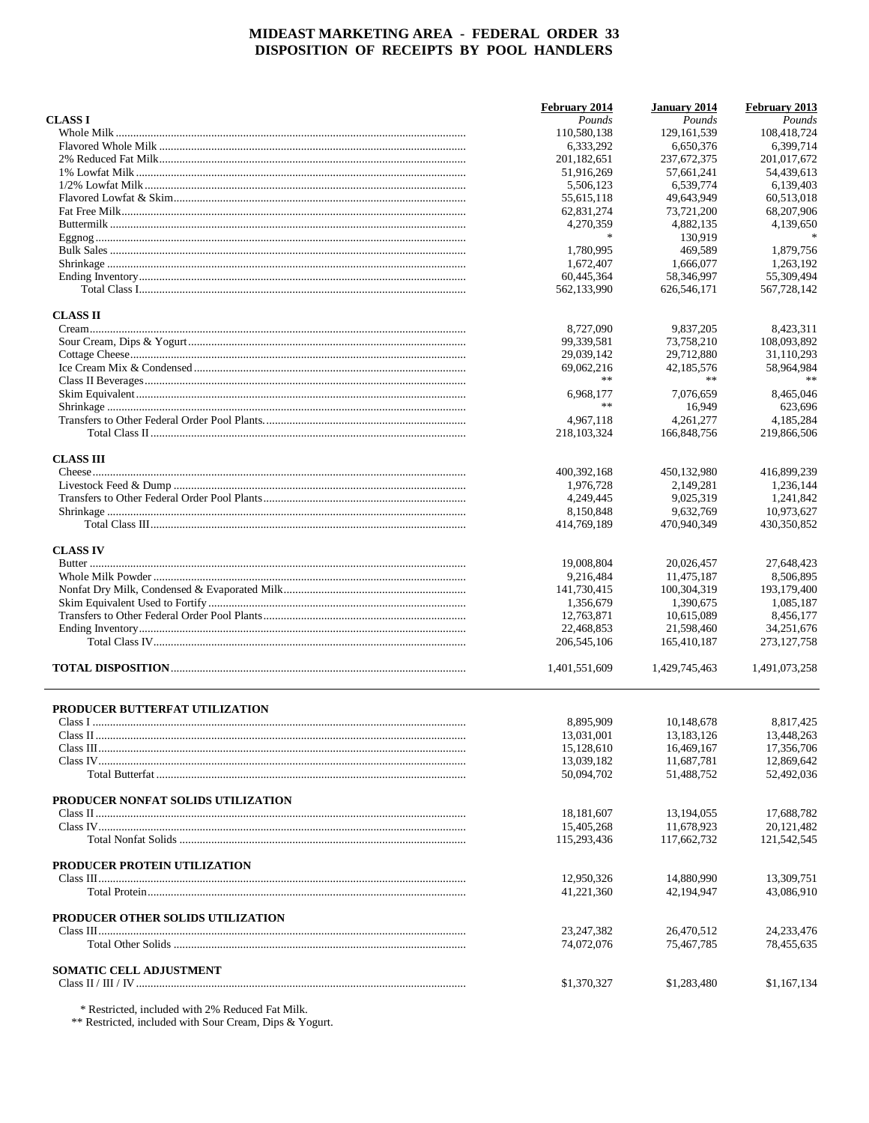|                                    | February 2014            | January 2014             | February 2013            |
|------------------------------------|--------------------------|--------------------------|--------------------------|
| <b>CLASS I</b>                     | Pounds                   | Pounds                   | Pounds                   |
|                                    | 110.580.138              | 129.161.539              | 108.418.724              |
|                                    | 6.333.292                | 6.650.376                | 6,399,714                |
|                                    | 201, 182, 651            | 237, 672, 375            | 201,017,672              |
|                                    | 51,916,269               | 57,661,241               | 54,439,613               |
|                                    | 5,506,123                | 6,539,774                | 6.139.403                |
|                                    | 55,615,118               | 49,643,949               | 60,513,018               |
|                                    | 62,831,274               | 73,721,200               | 68,207,906               |
|                                    | 4,270,359                | 4,882,135                | 4,139,650                |
|                                    | $\frac{1}{2}$            | 130.919                  | $\frac{1}{2}$            |
|                                    | 1.780.995                | 469,589                  | 1,879,756                |
|                                    | 1,672,407                | 1,666,077                | 1,263,192                |
|                                    | 60,445,364               | 58.346.997               | 55,309,494               |
|                                    | 562,133,990              | 626,546,171              | 567,728,142              |
| <b>CLASS II</b>                    |                          |                          |                          |
|                                    | 8,727,090                | 9,837,205                | 8,423,311                |
|                                    | 99,339,581               | 73,758,210               | 108,093,892              |
|                                    | 29,039,142               | 29,712,880               | 31,110,293               |
|                                    | 69,062,216               | 42,185,576               | 58,964,984               |
|                                    | **                       | $**$                     |                          |
|                                    | 6,968,177                | 7.076.659                | 8,465,046                |
|                                    | **                       | 16,949                   | 623,696                  |
|                                    | 4,967,118                | 4.261.277                | 4,185,284                |
|                                    | 218, 103, 324            | 166,848,756              | 219,866,506              |
| <b>CLASS III</b>                   |                          |                          |                          |
|                                    | 400,392,168              | 450,132,980              | 416,899,239              |
|                                    | 1,976,728                | 2,149,281                | 1,236,144                |
|                                    | 4,249,445                | 9,025,319                | 1,241,842                |
|                                    | 8,150,848                | 9,632,769                | 10,973,627               |
|                                    | 414,769,189              | 470,940,349              | 430,350,852              |
| <b>CLASS IV</b>                    |                          |                          |                          |
|                                    | 19,008,804               | 20,026,457               | 27,648,423               |
|                                    | 9,216,484                | 11,475,187               | 8,506,895                |
|                                    | 141,730,415              | 100,304,319              | 193,179,400              |
|                                    | 1,356,679                | 1,390,675                | 1,085,187                |
|                                    | 12,763,871               | 10,615,089               | 8,456,177                |
|                                    | 22,468,853               | 21,598,460               | 34,251,676               |
|                                    | 206, 545, 106            | 165,410,187              | 273, 127, 758            |
|                                    | 1,401,551,609            | 1,429,745,463            | 1,491,073,258            |
|                                    |                          |                          |                          |
| PRODUCER BUTTERFAT UTILIZATION     |                          |                          |                          |
|                                    | 8,895,909                | 10,148,678               | 8,817,425                |
|                                    | 13,031,001               | 13, 183, 126             | 13,448,263               |
|                                    | 15,128,610               | 16.469.167               | 17,356,706               |
|                                    | 13,039,182<br>50,094,702 | 11,687,781<br>51,488,752 | 12,869,642<br>52,492,036 |
|                                    |                          |                          |                          |
| PRODUCER NONFAT SOLIDS UTILIZATION |                          |                          |                          |
|                                    | 18, 181, 607             | 13,194,055               | 17,688,782               |
|                                    | 15,405,268               | 11,678,923               | 20,121,482               |
|                                    | 115,293,436              | 117,662,732              | 121,542,545              |
| PRODUCER PROTEIN UTILIZATION       |                          |                          |                          |
|                                    | 12,950,326               | 14,880,990               | 13,309,751               |
|                                    | 41,221,360               | 42,194,947               | 43,086,910               |
| PRODUCER OTHER SOLIDS UTILIZATION  |                          |                          |                          |
|                                    | 23, 247, 382             | 26,470,512               | 24, 233, 476             |
|                                    | 74,072,076               | 75,467,785               | 78,455,635               |
|                                    |                          |                          |                          |
| <b>SOMATIC CELL ADJUSTMENT</b>     | \$1,370,327              | \$1,283,480              | \$1,167,134              |
|                                    |                          |                          |                          |

 $^\ast$  Restricted, included with 2% Reduced Fat Milk.  $^{\ast\ast}$  Restricted, included with Sour Cream, Dips & Yogurt.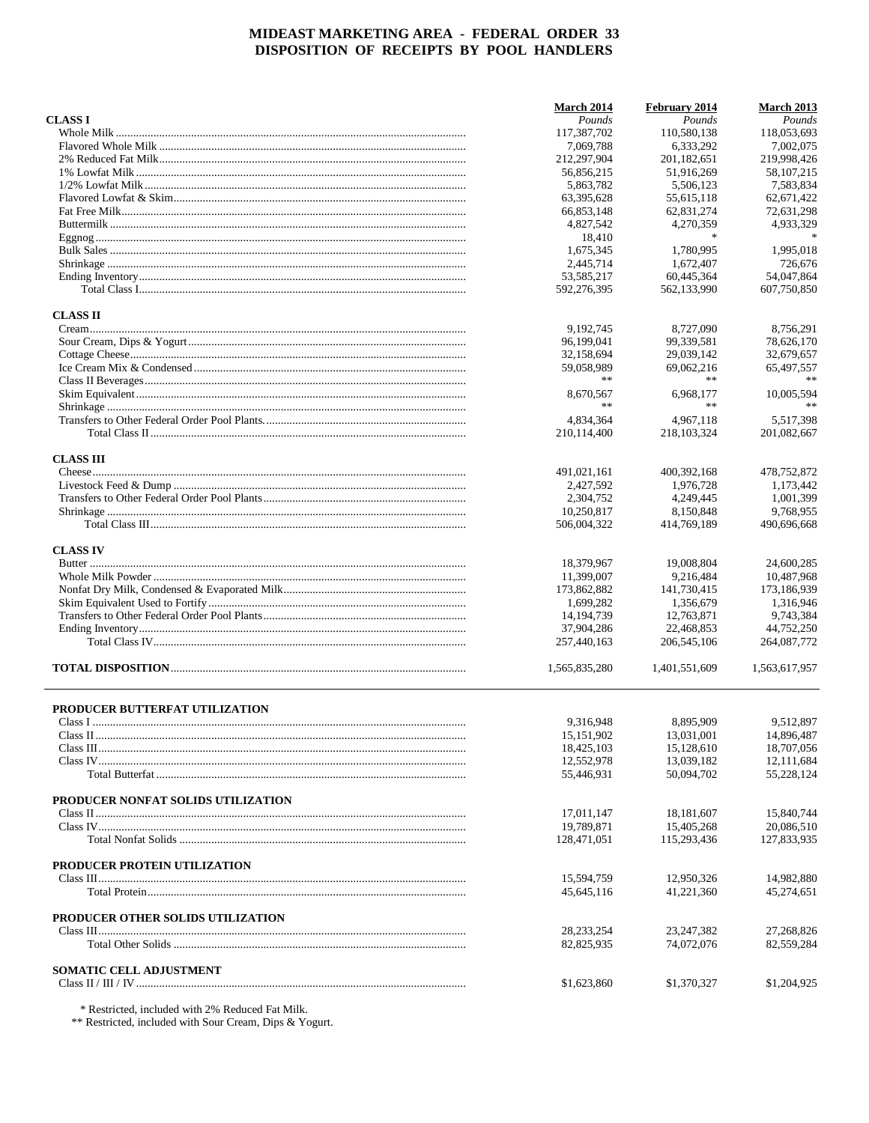|                                    | March 2014    | February 2014 | <b>March 2013</b> |
|------------------------------------|---------------|---------------|-------------------|
| <b>CLASS I</b>                     | Pounds        | Pounds        | Pounds            |
|                                    | 117,387,702   | 110,580,138   | 118,053,693       |
|                                    | 7,069,788     | 6,333,292     | 7,002,075         |
|                                    | 212,297,904   | 201,182,651   | 219,998,426       |
|                                    | 56,856,215    | 51,916,269    | 58, 107, 215      |
|                                    | 5,863,782     | 5,506,123     | 7,583,834         |
|                                    | 63,395,628    | 55,615,118    | 62,671,422        |
|                                    | 66,853,148    | 62,831,274    | 72,631,298        |
|                                    | 4,827,542     | 4,270,359     | 4,933,329         |
|                                    | 18,410        | $\ast$        |                   |
|                                    | 1,675,345     | 1,780,995     | 1,995,018         |
|                                    |               |               | 726.676           |
|                                    | 2,445,714     | 1,672,407     |                   |
|                                    | 53.585.217    | 60,445,364    | 54,047,864        |
|                                    | 592,276,395   | 562.133.990   | 607,750,850       |
| <b>CLASS II</b>                    |               |               |                   |
|                                    | 9,192,745     | 8,727,090     | 8,756,291         |
|                                    | 96,199,041    | 99,339,581    | 78,626,170        |
|                                    | 32,158,694    | 29,039,142    | 32,679,657        |
|                                    | 59,058,989    | 69,062,216    | 65,497,557        |
|                                    | **            | **            |                   |
|                                    | 8,670,567     | 6,968,177     | 10,005,594        |
|                                    | **            | $**$          | **                |
|                                    | 4,834,364     | 4,967,118     | 5.517.398         |
|                                    | 210,114,400   | 218, 103, 324 | 201,082,667       |
|                                    |               |               |                   |
| <b>CLASS III</b>                   |               |               |                   |
|                                    | 491,021,161   | 400, 392, 168 | 478,752,872       |
|                                    | 2,427,592     | 1,976,728     | 1.173.442         |
|                                    | 2,304,752     | 4,249,445     | 1.001.399         |
|                                    | 10,250,817    | 8,150,848     | 9,768,955         |
|                                    | 506,004,322   | 414,769,189   | 490,696,668       |
| <b>CLASS IV</b>                    |               |               |                   |
|                                    | 18,379,967    | 19,008,804    | 24,600,285        |
|                                    |               |               |                   |
|                                    | 11,399,007    | 9,216,484     | 10,487,968        |
|                                    | 173,862,882   | 141,730,415   | 173,186,939       |
|                                    | 1,699,282     | 1,356,679     | 1,316,946         |
|                                    | 14, 194, 739  | 12,763,871    | 9,743,384         |
|                                    | 37,904,286    | 22,468,853    | 44,752,250        |
|                                    | 257,440,163   | 206, 545, 106 | 264,087,772       |
|                                    | 1,565,835,280 | 1,401,551,609 | 1,563,617,957     |
|                                    |               |               |                   |
| PRODUCER BUTTERFAT UTILIZATION     |               |               |                   |
|                                    | 9,316,948     | 8,895,909     | 9.512.897         |
|                                    | 15, 151, 902  | 13,031,001    | 14,896,487        |
|                                    | 18,425,103    | 15,128,610    | 18,707,056        |
|                                    | 12,552,978    | 13,039,182    | 12,111,684        |
|                                    | 55,446,931    | 50,094,702    | 55,228,124        |
| PRODUCER NONFAT SOLIDS UTILIZATION |               |               |                   |
|                                    | 17,011,147    | 18,181,607    | 15,840,744        |
|                                    | 19,789,871    | 15,405,268    | 20,086,510        |
|                                    | 128,471,051   | 115,293,436   | 127,833,935       |
|                                    |               |               |                   |
| PRODUCER PROTEIN UTILIZATION       |               |               |                   |
|                                    | 15,594,759    | 12,950,326    | 14,982,880        |
|                                    | 45.645.116    | 41,221,360    | 45,274,651        |
| PRODUCER OTHER SOLIDS UTILIZATION  |               |               |                   |
|                                    | 28, 233, 254  | 23, 247, 382  | 27,268,826        |
|                                    | 82,825,935    | 74,072,076    | 82,559,284        |
|                                    |               |               |                   |
| <b>SOMATIC CELL ADJUSTMENT</b>     |               |               |                   |
|                                    | \$1,623,860   | \$1,370,327   | \$1,204,925       |

 $^\ast$  Restricted, included with 2% Reduced Fat Milk.  $^{\ast\ast}$  Restricted, included with Sour Cream, Dips & Yogurt.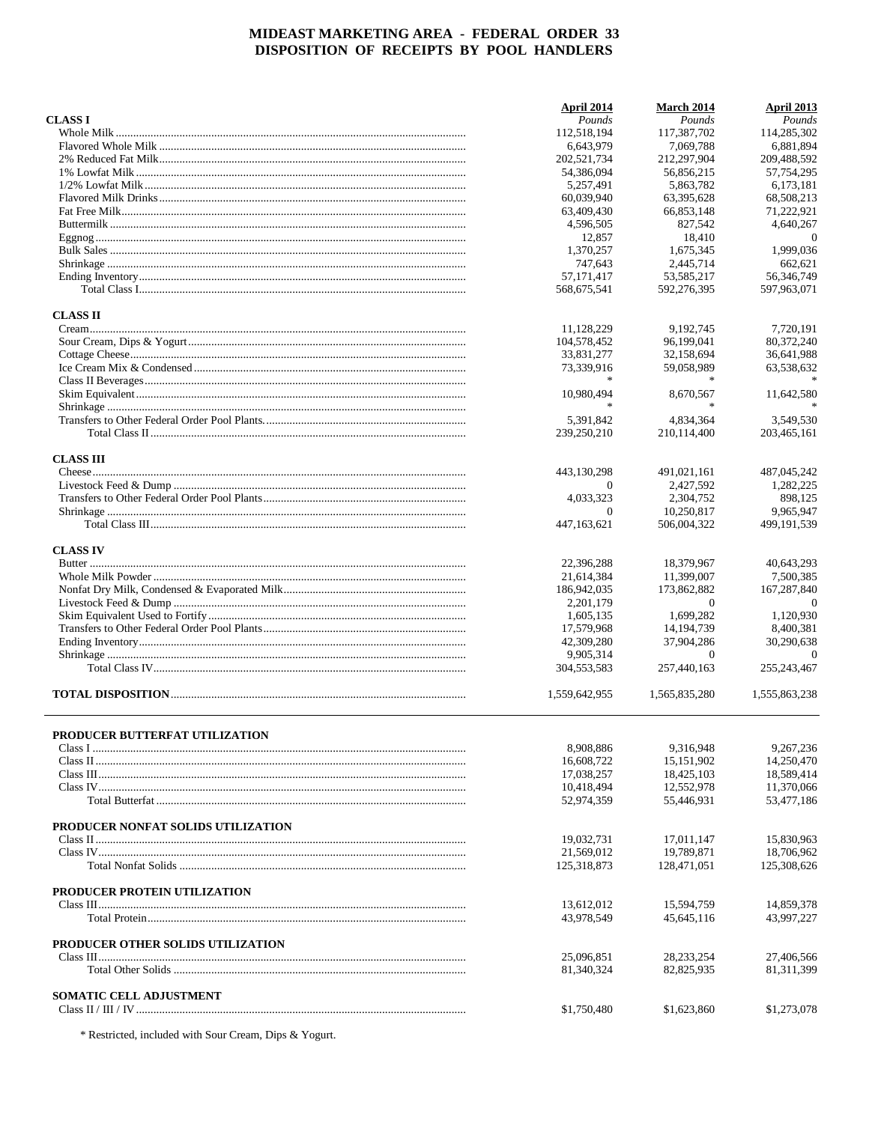| <b>CLASS I</b>                     | April 2014<br>Pounds | <b>March 2014</b><br>Pounds | <b>April 2013</b><br>Pounds |
|------------------------------------|----------------------|-----------------------------|-----------------------------|
|                                    | 112,518,194          | 117,387,702                 | 114,285,302                 |
|                                    | 6,643,979            | 7.069.788                   | 6,881,894                   |
|                                    | 202,521,734          | 212,297,904                 | 209,488,592                 |
|                                    | 54,386,094           | 56.856.215                  | 57,754,295                  |
|                                    | 5.257.491            | 5,863,782                   | 6,173,181                   |
|                                    | 60,039,940           | 63,395,628                  | 68,508,213                  |
|                                    | 63,409,430           | 66,853,148                  | 71,222,921                  |
|                                    | 4,596,505            | 827,542                     | 4,640,267                   |
|                                    | 12,857               | 18,410                      | $\theta$                    |
|                                    | 1,370,257            | 1,675,345                   | 1,999,036                   |
|                                    | 747,643              | 2,445,714                   | 662,621                     |
|                                    | 57, 171, 417         | 53,585,217                  | 56,346,749                  |
|                                    | 568,675,541          | 592,276,395                 | 597,963,071                 |
| <b>CLASS II</b>                    |                      |                             |                             |
|                                    | 11,128,229           | 9,192,745                   | 7,720,191                   |
|                                    | 104,578,452          | 96,199,041                  | 80,372,240                  |
|                                    | 33,831,277           | 32,158,694                  | 36,641,988                  |
|                                    | 73,339,916           | 59,058,989                  | 63,538,632                  |
|                                    |                      |                             |                             |
|                                    | 10,980,494           | 8,670,567                   | 11,642,580                  |
|                                    | $\frac{1}{20}$       | $\frac{1}{20}$              |                             |
|                                    | 5,391,842            | 4,834,364                   | 3,549,530                   |
|                                    | 239,250,210          | 210,114,400                 | 203,465,161                 |
| <b>CLASS III</b>                   | 443,130,298          | 491,021,161                 | 487,045,242                 |
|                                    | $\Omega$             | 2,427,592                   | 1,282,225                   |
|                                    | 4,033,323            | 2,304,752                   | 898,125                     |
|                                    | $\Omega$             | 10,250,817                  | 9,965,947                   |
|                                    | 447, 163, 621        | 506,004,322                 | 499, 191, 539               |
| <b>CLASS IV</b>                    |                      |                             |                             |
|                                    | 22,396,288           | 18,379,967                  | 40,643,293                  |
|                                    | 21,614,384           | 11,399,007                  | 7,500,385                   |
|                                    | 186,942,035          | 173,862,882                 | 167,287,840                 |
|                                    | 2,201,179            | $\mathbf{0}$                | $\Omega$                    |
|                                    | 1,605,135            | 1,699,282                   | 1,120,930                   |
|                                    | 17,579,968           | 14, 194, 739                | 8,400,381                   |
|                                    | 42,309,280           | 37,904,286                  | 30,290,638                  |
|                                    | 9,905,314            | $\mathbf{0}$                | $\overline{0}$              |
|                                    | 304,553,583          | 257,440,163                 | 255, 243, 467               |
|                                    | 1,559,642,955        | 1,565,835,280               | 1,555,863,238               |
|                                    |                      |                             |                             |
| PRODUCER BUTTERFAT UTILIZATION     | 8,908,886            | 9,316,948                   | 9,267,236                   |
|                                    | 16,608,722           | 15, 151, 902                | 14.250.470                  |
|                                    | 17,038,257           | 18,425,103                  | 18,589,414                  |
|                                    | 10,418,494           | 12,552,978                  | 11,370,066                  |
|                                    | 52,974,359           | 55,446,931                  | 53,477,186                  |
| PRODUCER NONFAT SOLIDS UTILIZATION |                      |                             |                             |
|                                    | 19,032,731           | 17,011,147                  | 15,830,963                  |
|                                    | 21.569.012           | 19,789,871                  | 18,706,962                  |
|                                    | 125,318,873          | 128,471,051                 | 125,308,626                 |
| PRODUCER PROTEIN UTILIZATION       |                      |                             |                             |
|                                    | 13,612,012           | 15,594,759                  | 14,859,378                  |
|                                    | 43,978,549           | 45,645,116                  | 43,997,227                  |
| PRODUCER OTHER SOLIDS UTILIZATION  |                      |                             |                             |
|                                    | 25,096,851           | 28, 233, 254                | 27,406,566                  |
|                                    | 81,340,324           | 82,825,935                  | 81, 311, 399                |
| <b>SOMATIC CELL ADJUSTMENT</b>     |                      |                             |                             |
|                                    | \$1,750,480          | \$1,623,860                 | \$1,273,078                 |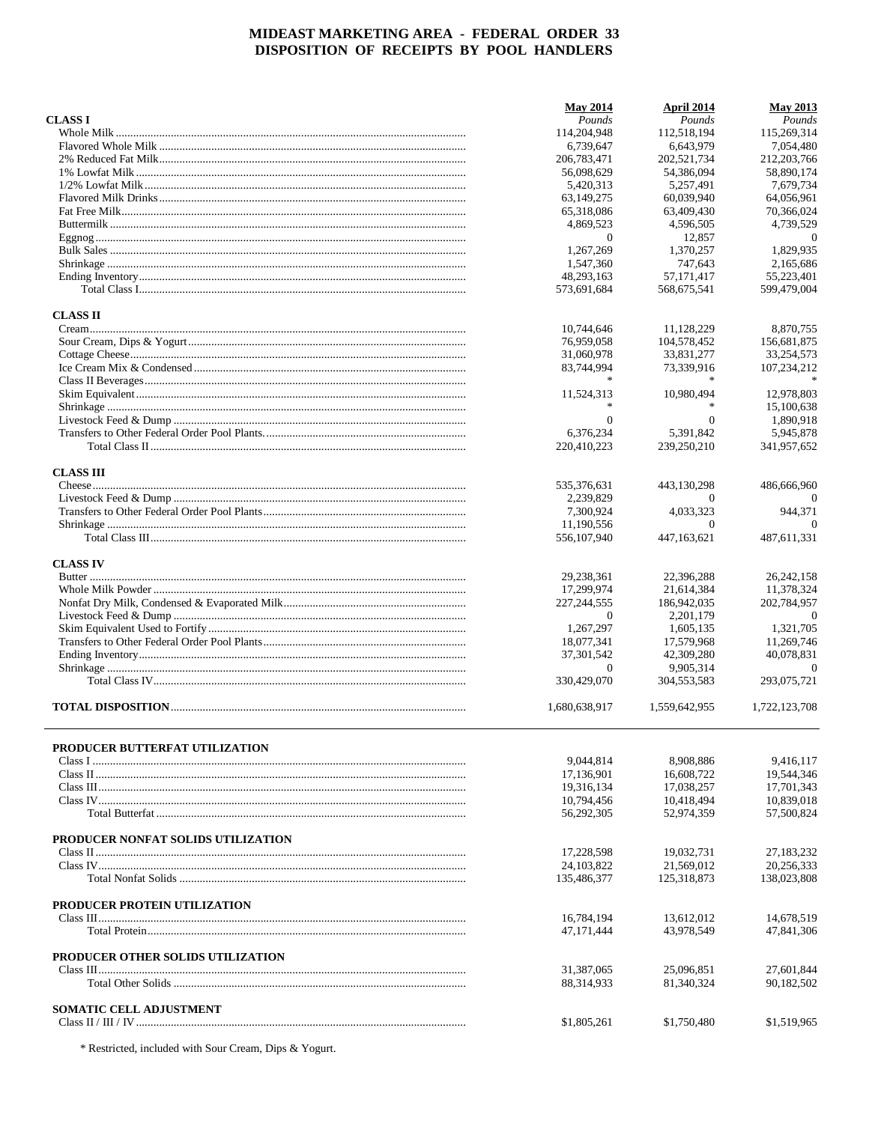|                                    | <b>May 2014</b> | April 2014    | <b>May 2013</b> |
|------------------------------------|-----------------|---------------|-----------------|
| <b>CLASS I</b>                     | Pounds          | Pounds        | Pounds          |
|                                    | 114,204,948     | 112,518,194   | 115,269,314     |
|                                    | 6.739.647       | 6.643.979     | 7,054,480       |
|                                    | 206,783,471     | 202,521,734   | 212, 203, 766   |
|                                    | 56,098,629      | 54.386.094    | 58,890,174      |
|                                    | 5,420,313       | 5,257,491     | 7,679,734       |
|                                    | 63,149,275      | 60,039,940    | 64,056,961      |
|                                    | 65,318,086      | 63,409,430    | 70,366,024      |
|                                    | 4,869,523       | 4,596,505     | 4,739,529       |
|                                    | $\overline{0}$  | 12,857        | $\theta$        |
|                                    | 1,267,269       | 1,370,257     | 1,829,935       |
|                                    | 1,547,360       | 747,643       | 2.165.686       |
|                                    | 48,293,163      | 57.171.417    | 55,223,401      |
|                                    | 573,691,684     | 568,675,541   | 599,479,004     |
| <b>CLASS II</b>                    |                 |               |                 |
|                                    | 10,744,646      | 11,128,229    | 8,870,755       |
|                                    | 76,959,058      | 104,578,452   | 156,681,875     |
|                                    | 31,060,978      | 33,831,277    | 33,254,573      |
|                                    | 83,744,994      | 73,339,916    | 107,234,212     |
|                                    |                 |               |                 |
|                                    | 11,524,313      | 10.980.494    | 12,978,803      |
|                                    |                 |               | 15,100,638      |
|                                    | $\Omega$        | $\Omega$      | 1,890,918       |
|                                    | 6.376.234       | 5,391,842     | 5,945,878       |
|                                    | 220,410,223     | 239,250,210   | 341,957,652     |
| <b>CLASS III</b>                   |                 |               |                 |
|                                    | 535,376,631     | 443,130,298   | 486,666,960     |
|                                    | 2,239,829       | $\Omega$      |                 |
|                                    | 7,300,924       | 4,033,323     | 944,371         |
|                                    | 11,190,556      | $\Omega$      | $\Omega$        |
|                                    | 556,107,940     | 447, 163, 621 | 487,611,331     |
| <b>CLASS IV</b>                    |                 |               |                 |
|                                    | 29,238,361      | 22,396,288    | 26, 242, 158    |
|                                    | 17,299,974      | 21,614,384    | 11,378,324      |
|                                    | 227, 244, 555   | 186,942,035   | 202,784,957     |
|                                    | 0               | 2, 201, 179   | $\theta$        |
|                                    | 1,267,297       | 1,605,135     | 1,321,705       |
|                                    | 18,077,341      | 17,579,968    | 11,269,746      |
|                                    | 37, 301, 542    | 42,309,280    | 40,078,831      |
|                                    | 0               | 9,905,314     | 0               |
|                                    | 330,429,070     | 304, 553, 583 | 293,075,721     |
|                                    |                 |               |                 |
|                                    | 1,680,638,917   | 1,559,642,955 | 1,722,123,708   |
| PRODUCER BUTTERFAT UTILIZATION     |                 |               |                 |
|                                    | 9,044,814       | 8,908,886     | 9,416,117       |
|                                    | 17,136,901      | 16,608,722    | 19,544,346      |
|                                    | 19,316,134      | 17,038,257    | 17,701,343      |
|                                    | 10,794,456      | 10,418,494    | 10,839,018      |
|                                    | 56,292,305      | 52,974,359    | 57,500,824      |
|                                    |                 |               |                 |
| PRODUCER NONFAT SOLIDS UTILIZATION |                 |               |                 |
|                                    | 17,228,598      | 19,032,731    | 27,183,232      |
|                                    | 24.103.822      | 21.569.012    | 20,256,333      |
|                                    | 135,486,377     | 125,318,873   | 138,023,808     |
| PRODUCER PROTEIN UTILIZATION       |                 |               |                 |
|                                    | 16,784,194      | 13,612,012    | 14,678,519      |
|                                    | 47, 171, 444    | 43,978,549    | 47,841,306      |
| PRODUCER OTHER SOLIDS UTILIZATION  |                 |               |                 |
|                                    | 31,387,065      | 25,096,851    | 27,601,844      |
|                                    | 88,314,933      | 81,340,324    | 90,182,502      |
| <b>SOMATIC CELL ADJUSTMENT</b>     |                 |               |                 |
|                                    | \$1,805,261     | \$1,750,480   | \$1,519,965     |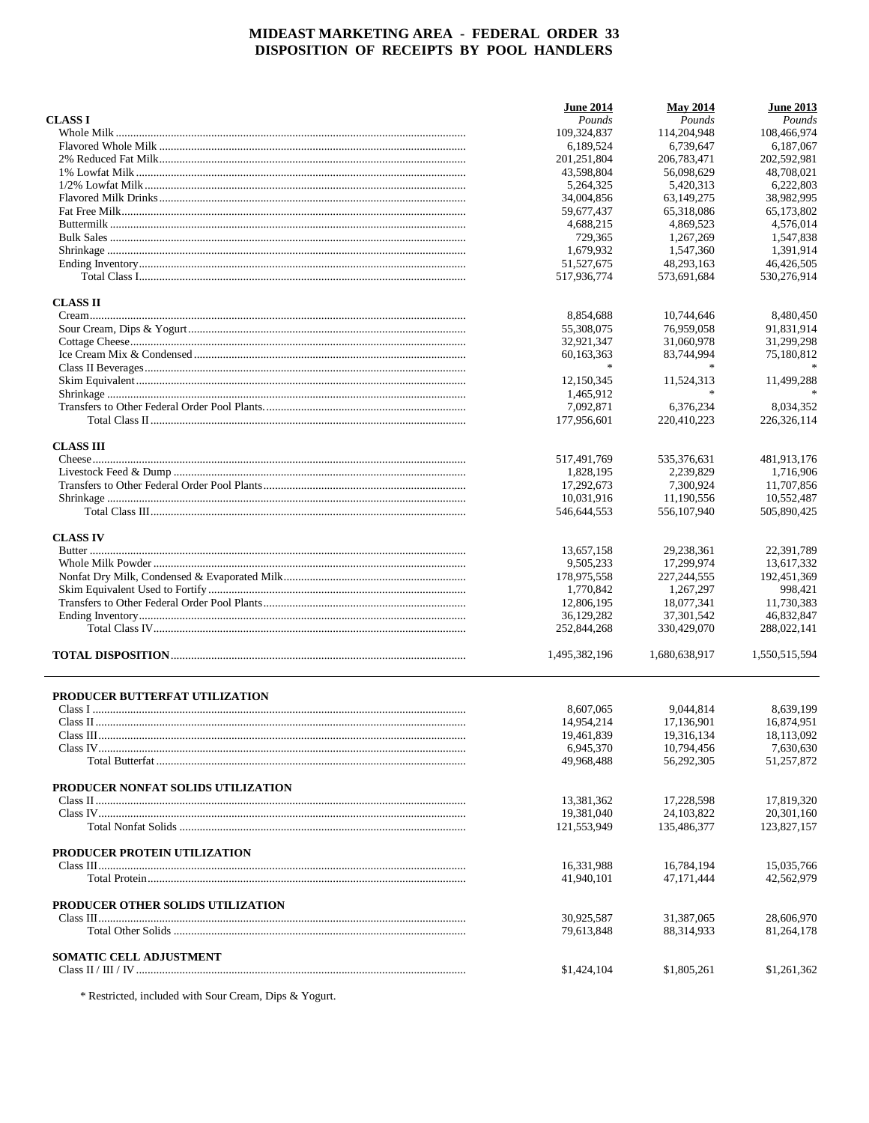|                                    | <b>June 2014</b> | <b>May 2014</b> | <b>June 2013</b> |
|------------------------------------|------------------|-----------------|------------------|
| <b>CLASS I</b>                     | Pounds           | Pounds          | Pounds           |
|                                    | 109,324,837      | 114,204,948     | 108,466,974      |
|                                    | 6,189,524        | 6,739,647       | 6,187,067        |
|                                    | 201,251,804      | 206,783,471     | 202,592,981      |
|                                    | 43,598,804       | 56,098,629      | 48,708,021       |
|                                    | 5,264,325        | 5,420,313       | 6,222,803        |
|                                    | 34,004,856       | 63,149,275      | 38,982,995       |
|                                    | 59,677,437       | 65,318,086      | 65,173,802       |
|                                    | 4,688,215        | 4,869,523       | 4,576,014        |
|                                    | 729,365          | 1,267,269       | 1,547,838        |
|                                    | 1,679,932        | 1,547,360       | 1,391,914        |
|                                    | 51,527,675       | 48,293,163      | 46,426,505       |
|                                    | 517,936,774      | 573,691,684     | 530,276,914      |
| <b>CLASS II</b>                    |                  |                 |                  |
|                                    | 8,854,688        | 10,744,646      | 8,480,450        |
|                                    | 55,308,075       | 76,959,058      | 91,831,914       |
|                                    | 32,921,347       | 31,060,978      | 31,299,298       |
|                                    | 60,163,363       | 83,744,994      | 75,180,812       |
|                                    | *                |                 |                  |
|                                    | 12,150,345       | 11,524,313      | 11,499,288       |
|                                    | 1,465,912        |                 |                  |
|                                    | 7,092,871        | 6,376,234       | 8,034,352        |
|                                    | 177,956,601      | 220,410,223     | 226, 326, 114    |
|                                    |                  |                 |                  |
| <b>CLASS III</b>                   | 517,491,769      | 535,376,631     | 481,913,176      |
|                                    | 1,828,195        | 2,239,829       | 1,716,906        |
|                                    | 17,292,673       | 7,300,924       | 11,707,856       |
|                                    | 10,031,916       | 11,190,556      | 10,552,487       |
|                                    | 546,644,553      | 556,107,940     | 505,890,425      |
|                                    |                  |                 |                  |
| <b>CLASS IV</b>                    |                  |                 | 22,391,789       |
|                                    | 13,657,158       | 29,238,361      |                  |
|                                    | 9,505,233        | 17,299,974      | 13,617,332       |
|                                    | 178,975,558      | 227, 244, 555   | 192,451,369      |
|                                    | 1,770,842        | 1,267,297       | 998,421          |
|                                    | 12,806,195       | 18,077,341      | 11,730,383       |
|                                    | 36,129,282       | 37, 301, 542    | 46,832,847       |
|                                    | 252,844,268      | 330,429,070     | 288,022,141      |
|                                    | 1,495,382,196    | 1,680,638,917   | 1,550,515,594    |
| PRODUCER BUTTERFAT UTILIZATION     |                  |                 |                  |
|                                    | 8,607,065        | 9,044,814       | 8,639,199        |
|                                    | 14,954,214       | 17.136.901      | 16.874.951       |
|                                    | 19,461,839       | 19,316,134      | 18,113,092       |
|                                    | 6,945,370        | 10,794,456      | 7,630,630        |
|                                    | 49,968,488       | 56,292,305      | 51,257,872       |
| PRODUCER NONFAT SOLIDS UTILIZATION |                  |                 |                  |
|                                    | 13,381,362       | 17,228,598      | 17,819,320       |
|                                    | 19,381,040       | 24, 103, 822    | 20,301,160       |
|                                    | 121,553,949      | 135,486,377     | 123,827,157      |
| PRODUCER PROTEIN UTILIZATION       |                  |                 |                  |
|                                    | 16,331,988       | 16,784,194      | 15,035,766       |
|                                    | 41,940,101       | 47,171,444      | 42,562,979       |
| PRODUCER OTHER SOLIDS UTILIZATION  |                  |                 |                  |
|                                    | 30,925,587       | 31,387,065      | 28,606,970       |
|                                    | 79,613,848       | 88,314,933      | 81,264,178       |
| SOMATIC CELL ADJUSTMENT            |                  |                 |                  |
|                                    | \$1,424,104      | \$1,805,261     | \$1,261,362      |
|                                    |                  |                 |                  |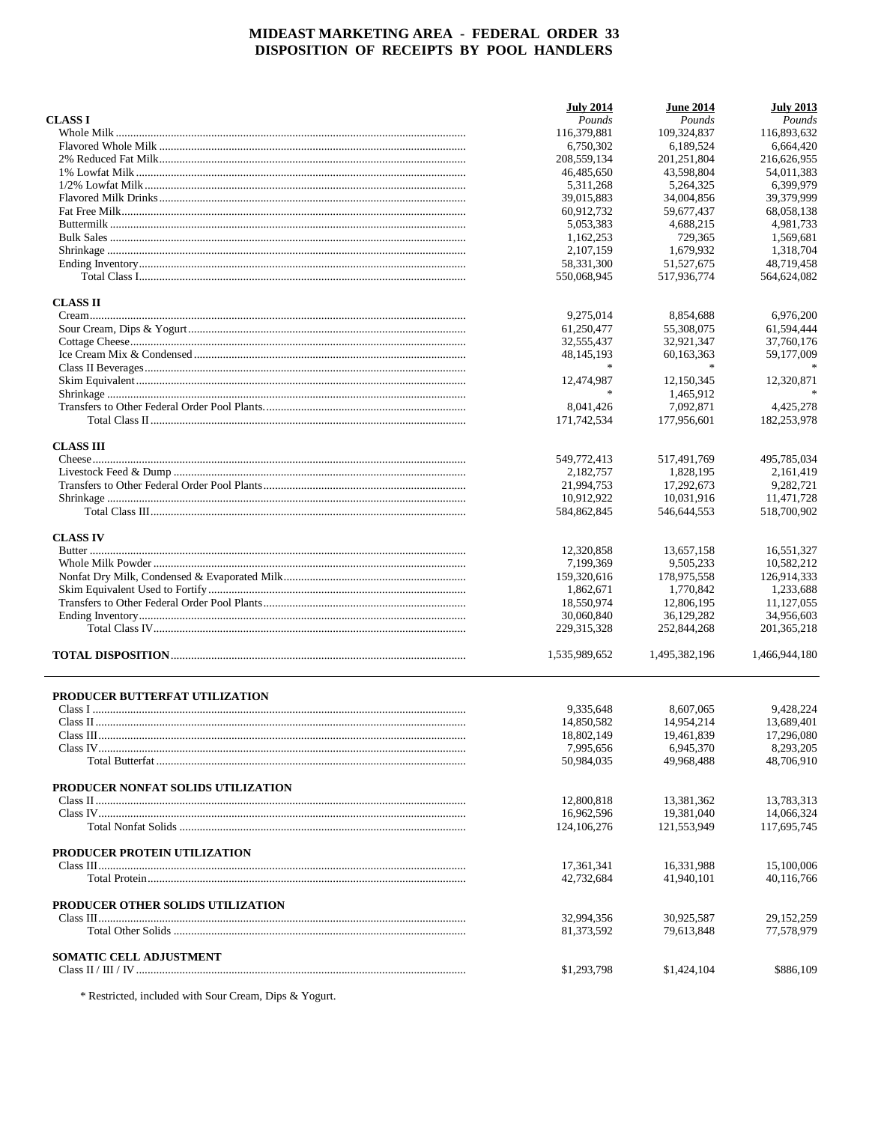|                                    | <b>July 2014</b> | <b>June 2014</b> | <b>July 2013</b> |
|------------------------------------|------------------|------------------|------------------|
| <b>CLASS I</b>                     | Pounds           | Pounds           | Pounds           |
|                                    | 116,379,881      | 109,324,837      | 116,893,632      |
|                                    | 6,750,302        | 6,189,524        | 6.664.420        |
|                                    | 208,559,134      | 201,251,804      | 216,626,955      |
|                                    | 46,485,650       | 43.598.804       | 54.011.383       |
|                                    | 5,311,268        | 5,264,325        | 6,399,979        |
|                                    | 39,015,883       | 34,004,856       | 39,379,999       |
|                                    | 60,912,732       | 59,677,437       | 68,058,138       |
|                                    | 5,053,383        | 4,688,215        | 4,981,733        |
|                                    | 1,162,253        | 729,365          | 1,569,681        |
|                                    | 2,107,159        | 1.679.932        | 1,318,704        |
|                                    | 58,331,300       | 51,527,675       | 48,719,458       |
|                                    | 550,068,945      | 517,936,774      | 564,624,082      |
| <b>CLASS II</b>                    |                  |                  |                  |
|                                    | 9,275,014        | 8,854,688        | 6,976,200        |
|                                    | 61,250,477       | 55,308,075       | 61,594,444       |
|                                    | 32,555,437       | 32,921,347       | 37,760,176       |
|                                    | 48, 145, 193     | 60,163,363       | 59,177,009       |
|                                    |                  |                  |                  |
|                                    | 12,474,987       | 12,150,345       | 12,320,871       |
|                                    |                  | 1.465.912        |                  |
|                                    | 8,041,426        | 7,092,871        | 4,425,278        |
|                                    | 171,742,534      | 177,956,601      | 182,253,978      |
| <b>CLASS III</b>                   |                  |                  |                  |
|                                    | 549,772,413      | 517.491.769      | 495,785,034      |
|                                    | 2,182,757        | 1,828,195        | 2,161,419        |
|                                    | 21,994,753       | 17,292,673       | 9,282,721        |
|                                    | 10,912,922       | 10,031,916       | 11,471,728       |
|                                    | 584,862,845      | 546,644,553      | 518,700,902      |
| <b>CLASS IV</b>                    |                  |                  |                  |
|                                    | 12,320,858       | 13,657,158       | 16,551,327       |
|                                    | 7,199,369        | 9,505,233        | 10,582,212       |
|                                    | 159,320,616      | 178,975,558      | 126,914,333      |
|                                    | 1,862,671        | 1,770,842        | 1,233,688        |
|                                    | 18,550,974       | 12,806,195       | 11,127,055       |
|                                    | 30,060,840       | 36,129,282       | 34,956,603       |
|                                    | 229, 315, 328    | 252,844,268      | 201, 365, 218    |
|                                    | 1,535,989,652    | 1,495,382,196    | 1,466,944,180    |
| PRODUCER BUTTERFAT UTILIZATION     |                  |                  |                  |
|                                    | 9,335,648        | 8,607,065        | 9,428,224        |
|                                    | 14,850,582       | 14,954,214       | 13,689,401       |
|                                    | 18,802,149       | 19,461,839       | 17,296,080       |
|                                    | 7,995,656        | 6,945,370        | 8,293,205        |
|                                    | 50,984,035       | 49,968,488       | 48,706,910       |
| PRODUCER NONFAT SOLIDS UTILIZATION |                  |                  |                  |
|                                    | 12,800,818       | 13,381,362       | 13,783,313       |
|                                    | 16,962,596       | 19,381,040       | 14,066,324       |
|                                    | 124, 106, 276    | 121,553,949      | 117,695,745      |
| PRODUCER PROTEIN UTILIZATION       |                  |                  |                  |
|                                    | 17,361,341       | 16,331,988       | 15,100,006       |
|                                    | 42,732,684       | 41,940,101       | 40,116,766       |
| PRODUCER OTHER SOLIDS UTILIZATION  |                  |                  |                  |
|                                    | 32,994,356       | 30,925,587       | 29, 152, 259     |
|                                    | 81,373,592       | 79,613,848       | 77,578,979       |
| SOMATIC CELL ADJUSTMENT            |                  |                  |                  |
|                                    | \$1,293,798      | \$1,424,104      | \$886,109        |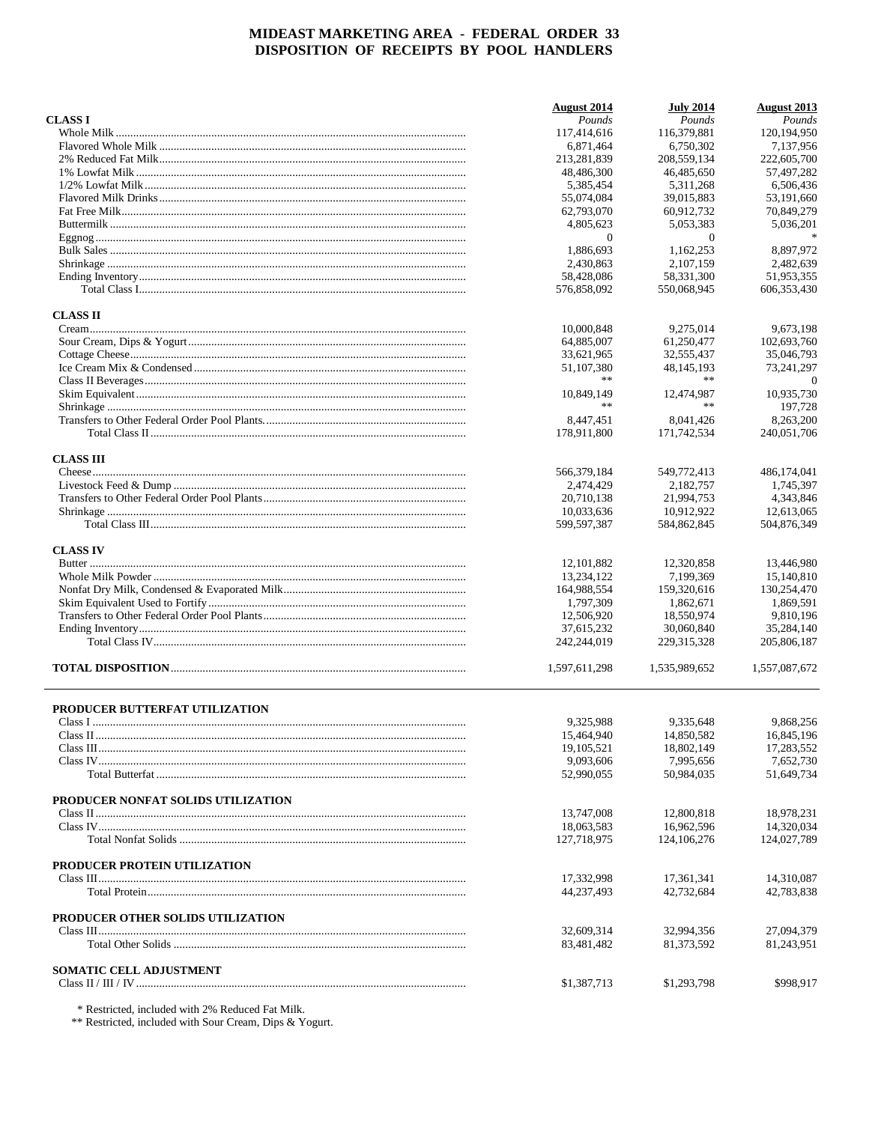|                                    | <b>August</b> 2014      | <b>July 2014</b>        | <b>August</b> 2013      |
|------------------------------------|-------------------------|-------------------------|-------------------------|
| <b>CLASS I</b>                     | Pounds                  | Pounds                  | Pounds                  |
|                                    | 117,414,616             | 116,379,881             | 120, 194, 950           |
|                                    | 6,871,464               | 6.750.302               | 7,137,956               |
|                                    | 213,281,839             | 208,559,134             | 222,605,700             |
|                                    | 48,486,300              | 46,485,650              | 57,497,282              |
|                                    | 5,385,454               | 5.311.268               | 6,506,436               |
|                                    | 55,074,084              | 39,015,883              | 53,191,660              |
|                                    | 62,793,070              | 60,912,732              | 70,849,279              |
|                                    | 4,805,623               | 5,053,383               | 5,036,201               |
|                                    | $\mathbf{0}$            | $\overline{0}$          | $\ast$                  |
|                                    | 1,886,693               | 1,162,253               | 8.897.972               |
|                                    | 2,430,863               | 2.107.159               | 2,482,639               |
|                                    | 58,428,086              | 58,331,300              | 51,953,355              |
|                                    | 576,858,092             | 550,068,945             | 606, 353, 430           |
| <b>CLASS II</b>                    |                         |                         |                         |
|                                    | 10,000,848              | 9,275,014               | 9,673,198               |
|                                    | 64,885,007              | 61,250,477              | 102,693,760             |
|                                    | 33,621,965              | 32,555,437              | 35,046,793              |
|                                    | 51,107,380              | 48, 145, 193            | 73,241,297              |
|                                    | **                      | **                      | $\theta$                |
|                                    | 10,849,149              | 12,474,987              | 10,935,730              |
|                                    | **                      | **                      | 197,728                 |
|                                    | 8,447,451               | 8.041.426               | 8,263,200               |
|                                    | 178,911,800             | 171,742,534             | 240,051,706             |
|                                    |                         |                         |                         |
| <b>CLASS III</b>                   |                         |                         |                         |
|                                    | 566,379,184             | 549,772,413             | 486,174,041             |
|                                    | 2,474,429               | 2,182,757               | 1,745,397               |
|                                    | 20,710,138              | 21,994,753              | 4,343,846               |
|                                    | 10,033,636              | 10,912,922              | 12,613,065              |
|                                    | 599,597,387             | 584,862,845             | 504,876,349             |
| <b>CLASS IV</b>                    |                         |                         |                         |
|                                    | 12, 101, 882            | 12,320,858              | 13,446,980              |
|                                    | 13,234,122              | 7,199,369               | 15,140,810              |
|                                    | 164,988,554             | 159,320,616             | 130,254,470             |
|                                    | 1,797,309               | 1,862,671               | 1,869,591               |
|                                    | 12,506,920              | 18,550,974              | 9,810,196               |
|                                    | 37,615,232              | 30,060,840              | 35,284,140              |
|                                    | 242,244,019             | 229, 315, 328           | 205,806,187             |
|                                    | 1,597,611,298           | 1,535,989,652           | 1,557,087,672           |
|                                    |                         |                         |                         |
| PRODUCER BUTTERFAT UTILIZATION     |                         |                         |                         |
|                                    | 9,325,988               | 9,335,648               | 9,868,256               |
|                                    | 15,464,940              | 14,850,582              | 16,845,196              |
|                                    | 19, 105, 521            | 18,802,149              | 17,283,552              |
|                                    | 9,093,606<br>52,990,055 | 7,995,656<br>50,984,035 | 7,652,730<br>51,649,734 |
|                                    |                         |                         |                         |
| PRODUCER NONFAT SOLIDS UTILIZATION |                         |                         |                         |
|                                    | 13,747,008              | 12,800,818              | 18,978,231              |
|                                    | 18,063,583              | 16,962,596              | 14,320,034              |
|                                    | 127,718,975             | 124, 106, 276           | 124,027,789             |
| PRODUCER PROTEIN UTILIZATION       |                         |                         |                         |
|                                    | 17,332,998              | 17,361,341              | 14,310,087              |
|                                    | 44,237,493              | 42,732,684              | 42,783,838              |
| PRODUCER OTHER SOLIDS UTILIZATION  |                         |                         |                         |
|                                    | 32,609,314              | 32,994,356              | 27,094,379              |
|                                    | 83,481,482              | 81,373,592              | 81,243,951              |
|                                    |                         |                         |                         |
| <b>SOMATIC CELL ADJUSTMENT</b>     |                         |                         |                         |
|                                    | \$1,387,713             | \$1,293,798             | \$998,917               |
|                                    |                         |                         |                         |

 $\,^*$  Restricted, included with 2% Reduced Fat Milk.  $\,^*$  Restricted, included with Sour Cream, Dips & Yogurt.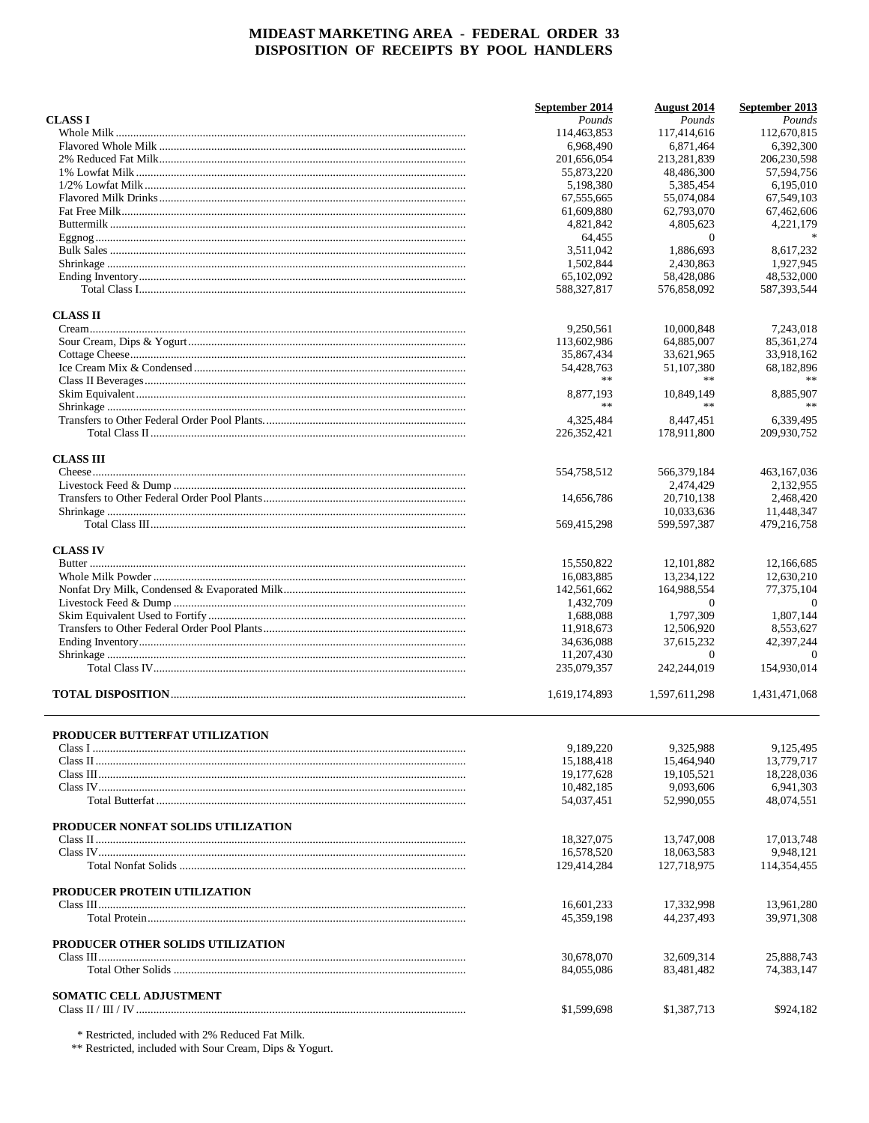|                                       | September 2014 | <b>August 2014</b>        | September 2013            |
|---------------------------------------|----------------|---------------------------|---------------------------|
| <b>CLASS I</b>                        | Pounds         | Pounds                    | Pounds                    |
|                                       | 114,463,853    | 117,414,616               | 112,670,815               |
|                                       | 6,968,490      | 6,871,464                 | 6,392,300                 |
|                                       | 201,656,054    | 213,281,839               | 206,230,598               |
|                                       | 55,873,220     | 48,486,300                | 57,594,756                |
|                                       | 5,198,380      | 5,385,454                 | 6,195,010                 |
|                                       | 67,555,665     | 55,074,084                | 67,549,103                |
|                                       | 61,609,880     | 62,793,070                | 67,462,606                |
|                                       | 4,821,842      | 4,805,623                 | 4,221,179                 |
|                                       | 64,455         | $\overline{0}$            | $\ast$                    |
|                                       | 3.511.042      | 1,886,693                 | 8,617,232                 |
|                                       | 1,502,844      | 2,430,863                 | 1.927.945                 |
|                                       | 65,102,092     | 58,428,086                | 48,532,000                |
|                                       | 588,327,817    | 576,858,092               | 587,393,544               |
| <b>CLASS II</b>                       |                |                           |                           |
|                                       | 9,250,561      | 10,000,848                | 7,243,018                 |
|                                       | 113,602,986    | 64,885,007                | 85, 361, 274              |
|                                       | 35,867,434     | 33,621,965                | 33,918,162                |
|                                       | 54,428,763     | 51,107,380                | 68,182,896                |
|                                       | **             |                           |                           |
|                                       | 8.877.193      |                           |                           |
|                                       | $**$           | 10,849,149<br>**          | 8,885,907<br>**           |
|                                       |                |                           |                           |
|                                       | 4,325,484      | 8,447,451                 | 6,339,495                 |
|                                       | 226, 352, 421  | 178,911,800               | 209.930.752               |
| <b>CLASS III</b>                      |                |                           |                           |
|                                       | 554,758,512    | 566,379,184               | 463,167,036               |
|                                       |                | 2.474.429                 | 2,132,955                 |
|                                       | 14,656,786     | 20,710,138                | 2,468,420                 |
|                                       | 569,415,298    | 10,033,636<br>599,597,387 | 11,448,347<br>479,216,758 |
|                                       |                |                           |                           |
| <b>CLASS IV</b>                       |                |                           |                           |
|                                       | 15,550,822     | 12, 101, 882              | 12,166,685                |
|                                       | 16,083,885     | 13,234,122                | 12,630,210                |
|                                       | 142,561,662    | 164,988,554               | 77,375,104                |
|                                       | 1,432,709      | $\theta$                  | $\overline{0}$            |
|                                       | 1,688,088      | 1,797,309                 | 1,807,144                 |
|                                       | 11,918,673     | 12,506,920                | 8,553,627                 |
|                                       | 34,636,088     | 37,615,232                | 42,397,244                |
|                                       | 11,207,430     | $\overline{0}$            | $\Omega$                  |
|                                       | 235,079,357    | 242,244,019               | 154,930,014               |
|                                       | 1,619,174,893  | 1,597,611,298             | 1,431,471,068             |
|                                       |                |                           |                           |
| <b>PRODUCER BUTTERFAT UTILIZATION</b> | 9,189,220      | 9,325,988                 | 9,125,495                 |
|                                       |                |                           |                           |
|                                       | 15,188,418     | 15,464,940                | 13,779,717                |
|                                       | 19,177,628     | 19, 105, 521              | 18,228,036                |
|                                       | 10,482,185     | 9,093,606                 | 6,941,303                 |
|                                       | 54,037,451     | 52,990,055                | 48,074,551                |
| PRODUCER NONFAT SOLIDS UTILIZATION    |                |                           |                           |
|                                       | 18,327,075     | 13,747,008                | 17,013,748                |
|                                       | 16,578,520     | 18,063,583                | 9,948,121                 |
|                                       | 129,414,284    | 127,718,975               | 114,354,455               |
|                                       |                |                           |                           |
| PRODUCER PROTEIN UTILIZATION          |                |                           |                           |
|                                       | 16,601,233     | 17,332,998                | 13,961,280                |
|                                       | 45,359,198     | 44,237,493                | 39,971,308                |
| PRODUCER OTHER SOLIDS UTILIZATION     |                |                           |                           |
|                                       | 30,678,070     | 32,609,314                | 25,888,743                |
|                                       | 84,055,086     | 83,481,482                | 74,383,147                |
|                                       |                |                           |                           |
| <b>SOMATIC CELL ADJUSTMENT</b>        |                |                           |                           |
|                                       | \$1,599,698    | \$1,387,713               | \$924,182                 |

 $\,^*$  Restricted, included with 2% Reduced Fat Milk. <br> \*\* Restricted, included with Sour Cream, Dips & Yogurt.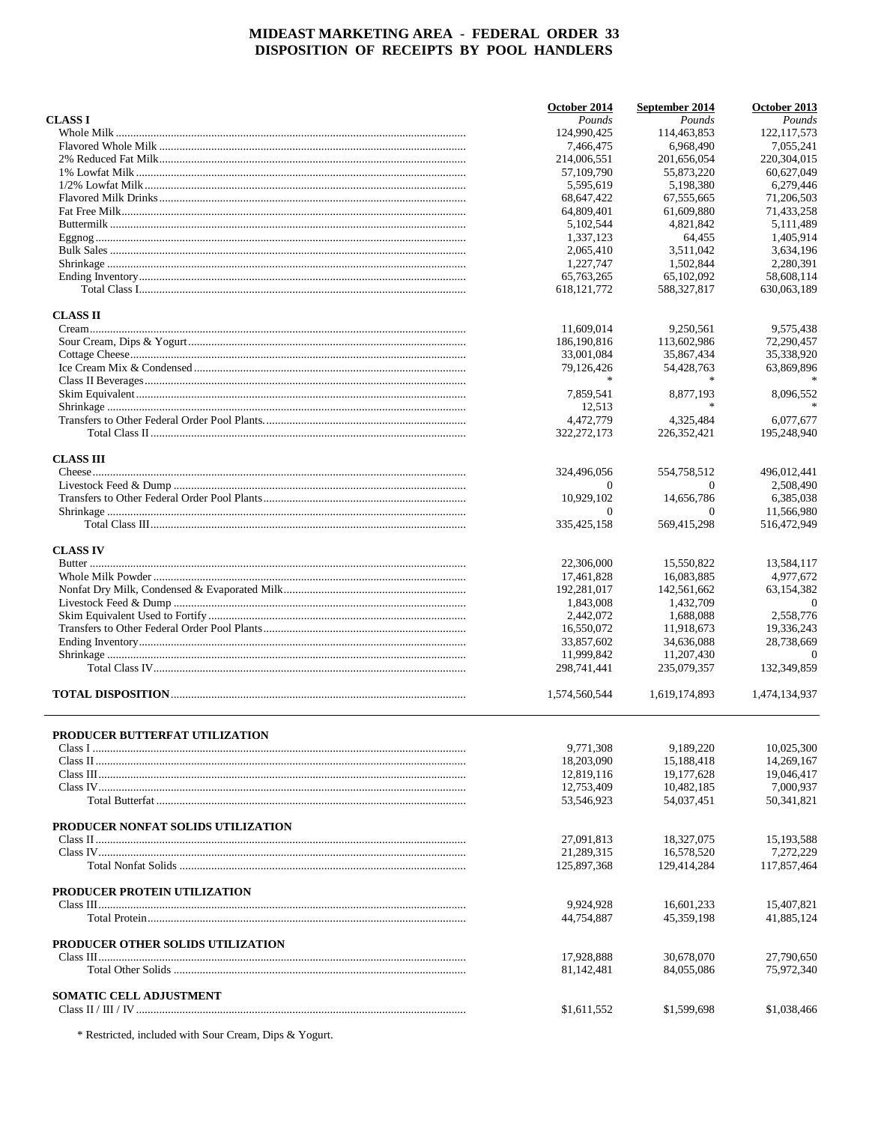|                                          | October 2014              | September 2014            | October 2013             |
|------------------------------------------|---------------------------|---------------------------|--------------------------|
| <b>CLASS I</b>                           | Pounds                    | Pounds                    | Pounds                   |
|                                          | 124,990,425               | 114,463,853               | 122, 117, 573            |
|                                          | 7,466,475                 | 6,968,490                 | 7.055.241                |
|                                          | 214,006,551               | 201,656,054               | 220,304,015              |
|                                          | 57,109,790                | 55,873,220                | 60,627,049               |
|                                          | 5.595.619                 | 5,198,380                 | 6,279,446                |
|                                          | 68,647,422                | 67,555,665                | 71,206,503               |
|                                          | 64,809,401                | 61,609,880                | 71,433,258               |
|                                          | 5,102,544                 | 4,821,842                 | 5,111,489                |
|                                          | 1,337,123                 | 64,455                    | 1,405,914                |
|                                          | 2,065,410                 | 3,511,042                 | 3,634,196                |
|                                          | 1,227,747                 | 1.502.844                 | 2,280,391                |
|                                          | 65,763,265                | 65,102,092                | 58,608,114               |
|                                          | 618, 121, 772             | 588,327,817               | 630,063.189              |
| <b>CLASS II</b>                          |                           |                           |                          |
|                                          | 11,609,014                | 9,250,561                 | 9,575,438                |
|                                          | 186,190,816               | 113,602,986               | 72,290,457               |
|                                          | 33,001,084                | 35,867,434                | 35,338,920               |
|                                          | 79,126,426                | 54,428,763                | 63,869,896               |
|                                          | $\ast$                    |                           |                          |
|                                          | 7,859,541                 | 8,877,193                 | 8,096,552                |
|                                          | 12,513                    |                           |                          |
|                                          | 4,472,779                 | 4,325,484                 | 6,077,677                |
|                                          | 322,272,173               | 226, 352, 421             | 195,248,940              |
|                                          |                           |                           |                          |
| <b>CLASS III</b>                         | 324,496,056               | 554,758,512               | 496,012,441              |
|                                          | $\Omega$                  | $\Omega$                  | 2,508,490                |
|                                          | 10,929,102                | 14,656,786                | 6,385,038                |
|                                          | $\Omega$                  | $\Omega$                  | 11,566,980               |
|                                          | 335, 425, 158             | 569,415,298               | 516,472,949              |
| <b>CLASS IV</b>                          |                           |                           |                          |
|                                          | 22,306,000                | 15,550,822                | 13,584,117               |
|                                          | 17,461,828                | 16,083,885                | 4,977,672                |
|                                          | 192,281,017               | 142,561,662               | 63,154,382               |
|                                          | 1,843,008                 | 1,432,709                 | $\overline{0}$           |
|                                          | 2,442,072                 | 1,688,088                 | 2,558,776                |
|                                          | 16,550,072                | 11,918,673                | 19,336,243               |
|                                          |                           |                           |                          |
|                                          | 33,857,602                | 34,636,088                | 28,738,669               |
|                                          | 11,999,842<br>298,741,441 | 11,207,430<br>235,079,357 | $\Omega$<br>132,349,859  |
|                                          |                           |                           |                          |
|                                          | 1,574,560,544             | 1,619,174,893             | 1,474,134,937            |
| <b>PRODUCER BUTTERFAT UTILIZATION</b>    |                           |                           |                          |
|                                          | 9,771,308                 | 9,189,220                 | 10,025,300               |
|                                          | 18,203,090                | 15,188,418                | 14,269,167               |
|                                          | 12,819,116                | 19,177,628                | 19,046,417               |
|                                          | 12,753,409                | 10,482,185                | 7,000,937                |
|                                          | 53,546,923                | 54,037,451                | 50,341,821               |
| PRODUCER NONFAT SOLIDS UTILIZATION       |                           |                           |                          |
|                                          | 27,091,813                | 18,327,075                | 15, 193, 588             |
|                                          | 21.289.315                |                           |                          |
|                                          | 125,897,368               | 16,578,520<br>129,414,284 | 7,272,229<br>117,857,464 |
|                                          |                           |                           |                          |
| PRODUCER PROTEIN UTILIZATION             |                           |                           |                          |
|                                          | 9,924,928<br>44,754,887   | 16,601,233<br>45,359,198  | 15,407,821<br>41,885,124 |
|                                          |                           |                           |                          |
| <b>PRODUCER OTHER SOLIDS UTILIZATION</b> |                           |                           |                          |
|                                          | 17,928,888                | 30,678,070                | 27,790,650               |
|                                          | 81,142,481                | 84,055,086                | 75,972,340               |
| <b>SOMATIC CELL ADJUSTMENT</b>           |                           |                           |                          |
|                                          | \$1,611,552               | \$1,599,698               | \$1,038,466              |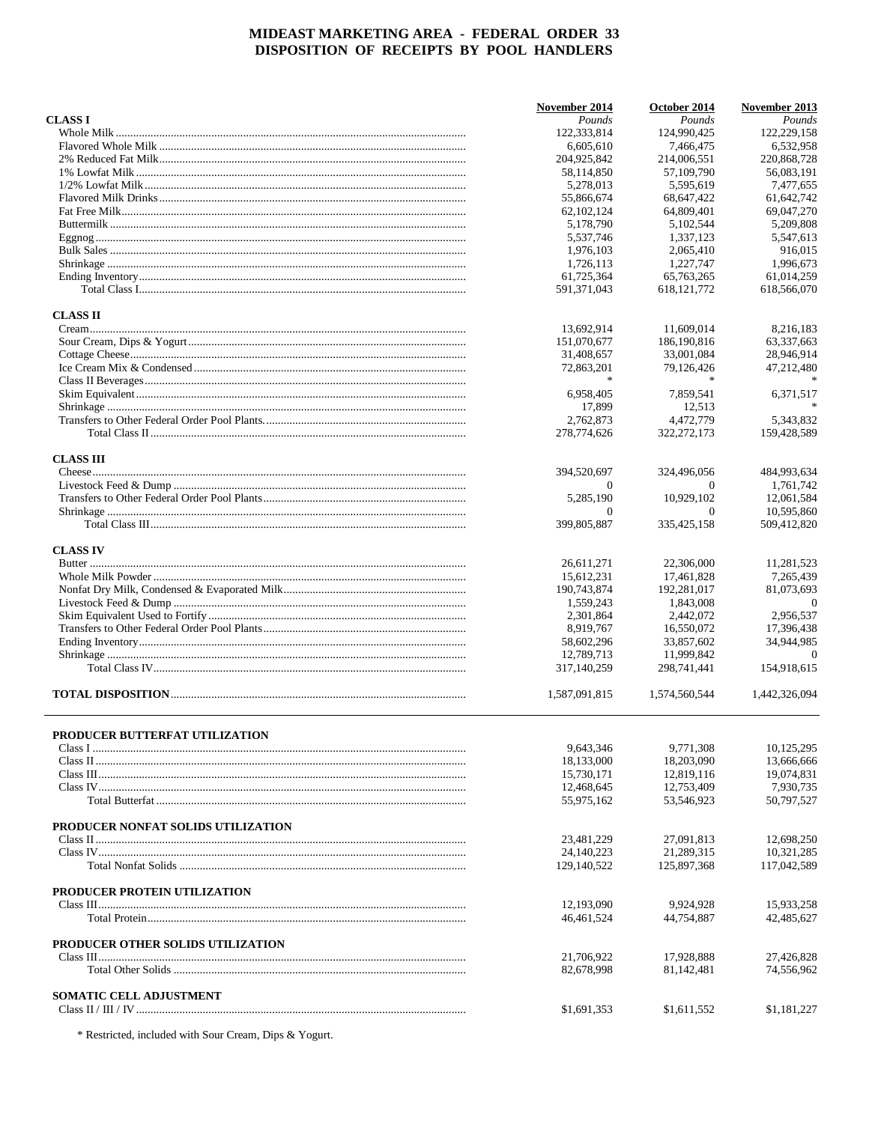|                                     | November 2014           | October 2014            | November 2013             |
|-------------------------------------|-------------------------|-------------------------|---------------------------|
| <b>CLASS I</b>                      | Pounds                  | Pounds                  | Pounds                    |
|                                     | 122,333,814             | 124,990,425             | 122,229,158               |
|                                     | 6,605,610               | 7,466,475               | 6,532,958                 |
|                                     | 204,925,842             | 214,006,551             | 220,868,728               |
|                                     | 58,114,850              | 57,109,790              | 56,083,191                |
|                                     | 5,278,013               | 5.595.619               | 7,477,655                 |
|                                     | 55,866,674              | 68,647,422              | 61,642,742                |
|                                     | 62, 102, 124            | 64,809,401              | 69,047,270                |
|                                     | 5,178,790               | 5,102,544               | 5,209,808                 |
|                                     | 5,537,746               | 1,337,123               | 5,547,613                 |
|                                     | 1.976.103               | 2,065,410               | 916,015                   |
|                                     | 1.726.113               | 1.227.747               | 1,996,673                 |
|                                     | 61,725,364              | 65,763,265              | 61,014,259                |
|                                     | 591,371,043             | 618, 121, 772           | 618,566,070               |
| <b>CLASS II</b>                     |                         |                         |                           |
|                                     | 13,692,914              | 11,609,014              | 8,216,183                 |
|                                     | 151,070,677             | 186,190,816             | 63,337,663                |
|                                     | 31,408,657              | 33,001,084              | 28,946,914                |
|                                     | 72,863,201              | 79,126,426              | 47,212,480                |
|                                     | 家                       | 家                       |                           |
|                                     | 6,958,405               | 7,859,541               | 6,371,517                 |
|                                     | 17,899                  | 12,513                  |                           |
|                                     | 2,762,873               | 4.472.779               | 5,343,832                 |
|                                     |                         |                         | 159,428,589               |
|                                     | 278,774,626             | 322, 272, 173           |                           |
| <b>CLASS III</b>                    |                         |                         |                           |
|                                     | 394,520,697             | 324,496,056             | 484,993,634               |
|                                     | $\overline{0}$          | $\Omega$                | 1,761,742                 |
|                                     | 5.285.190               | 10,929,102              | 12,061,584                |
|                                     | $\theta$<br>399,805,887 | $\theta$<br>335,425,158 | 10,595,860<br>509,412,820 |
|                                     |                         |                         |                           |
| <b>CLASS IV</b>                     |                         |                         | 11,281,523                |
|                                     | 26,611,271              | 22,306,000              |                           |
|                                     | 15,612,231              | 17,461,828              | 7,265,439                 |
|                                     | 190,743,874             | 192,281,017             | 81,073,693                |
|                                     | 1,559,243               | 1,843,008               | $\theta$                  |
|                                     | 2,301,864               | 2,442,072               | 2,956,537                 |
|                                     | 8,919,767               | 16,550,072              | 17,396,438                |
|                                     | 58,602,296              | 33,857,602              | 34,944,985                |
|                                     | 12,789,713              | 11.999.842              | $\Omega$                  |
|                                     | 317,140,259             | 298,741,441             | 154,918,615               |
|                                     | 1,587,091,815           | 1,574,560,544           | 1,442,326,094             |
| PRODUCER BUTTERFAT UTILIZATION      |                         |                         |                           |
|                                     | 9,643,346               | 9,771,308               | 10,125,295                |
|                                     | 18,133,000              | 18,203,090              | 13,666,666                |
|                                     | 15,730,171              | 12,819,116              | 19,074,831                |
|                                     | 12,468,645              | 12,753,409              | 7,930,735                 |
|                                     | 55,975,162              | 53,546,923              | 50,797,527                |
| PRODUCER NONFAT SOLIDS UTILIZATION  |                         |                         |                           |
|                                     | 23,481,229              | 27,091,813              | 12,698,250                |
|                                     |                         |                         |                           |
|                                     | 24,140,223              | 21,289,315              | 10,321,285                |
|                                     | 129,140,522             | 125,897,368             | 117,042,589               |
| <b>PRODUCER PROTEIN UTILIZATION</b> |                         |                         |                           |
|                                     | 12,193,090              | 9,924,928               | 15,933,258                |
|                                     | 46,461,524              | 44,754,887              | 42,485,627                |
| PRODUCER OTHER SOLIDS UTILIZATION   |                         |                         |                           |
|                                     | 21,706,922              | 17,928,888              | 27,426,828                |
|                                     | 82,678,998              | 81, 142, 481            | 74,556,962                |
| <b>SOMATIC CELL ADJUSTMENT</b>      |                         |                         |                           |
|                                     | \$1,691,353             | \$1,611,552             | \$1,181,227               |
|                                     |                         |                         |                           |